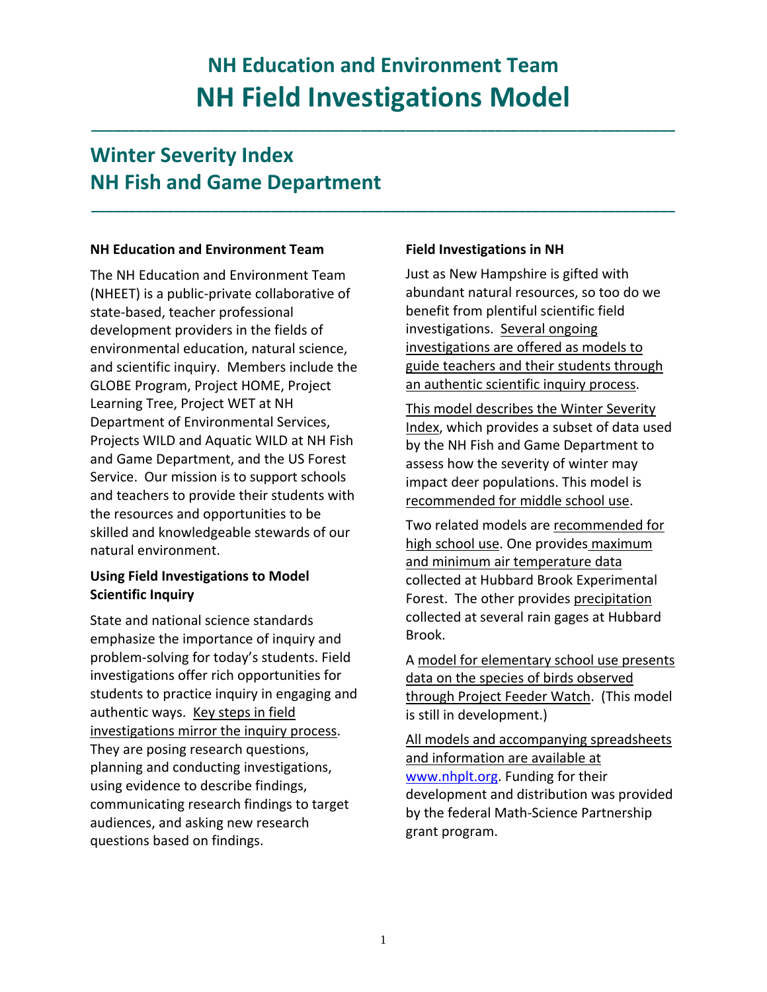# **NH Education and Environment Team NH Field Investigations Model**

**\_\_\_\_\_\_\_\_\_\_\_\_\_\_\_\_\_\_\_\_\_\_\_\_\_\_\_\_\_\_\_\_\_\_\_\_\_\_\_\_\_\_\_\_\_\_\_\_\_\_\_\_\_\_\_\_\_\_\_\_\_\_\_\_\_\_\_\_\_\_\_\_\_\_\_\_\_\_**

**\_\_\_\_\_\_\_\_\_\_\_\_\_\_\_\_\_\_\_\_\_\_\_\_\_\_\_\_\_\_\_\_\_\_\_\_\_\_\_\_\_\_\_\_\_\_\_\_\_\_\_\_\_\_\_\_\_\_\_\_\_\_\_\_\_\_\_\_\_\_\_\_\_\_\_\_\_\_**

# **Winter Severity Index NH Fish and Game Department**

### **NH Education and Environment Team**

The NH Education and Environment Team (NHEET) is a public‐private collaborative of state‐based, teacher professional development providers in the fields of environmental education, natural science, and scientific inquiry. Members include the GLOBE Program, Project HOME, Project Learning Tree, Project WET at NH Department of Environmental Services, Projects WILD and Aquatic WILD at NH Fish and Game Department, and the US Forest Service. Our mission is to support schools and teachers to provide their students with the resources and opportunities to be skilled and knowledgeable stewards of our natural environment.

# **Using Field Investigations to Model Scientific Inquiry**

State and national science standards emphasize the importance of inquiry and problem‐solving for today's students. Field investigations offer rich opportunities for students to practice inquiry in engaging and authentic ways. Key steps in field investigations mirror the inquiry process. They are posing research questions, planning and conducting investigations, using evidence to describe findings, communicating research findings to target audiences, and asking new research questions based on findings.

# **Field Investigations in NH**

Just as New Hampshire is gifted with abundant natural resources, so too do we benefit from plentiful scientific field investigations. Several ongoing investigations are offered as models to guide teachers and their students through an authentic scientific inquiry process.

This model describes the Winter Severity Index, which provides a subset of data used by the NH Fish and Game Department to assess how the severity of winter may impact deer populations. This model is recommended for middle school use.

Two related models are recommended for high school use. One provides maximum and minimum air temperature data collected at Hubbard Brook Experimental Forest. The other provides precipitation collected at several rain gages at Hubbard Brook.

A model for elementary school use presents data on the species of birds observed through Project Feeder Watch. (This model is still in development.)

All models and accompanying spreadsheets and information are available at www.nhplt.org. Funding for their development and distribution was provided by the federal Math‐Science Partnership grant program.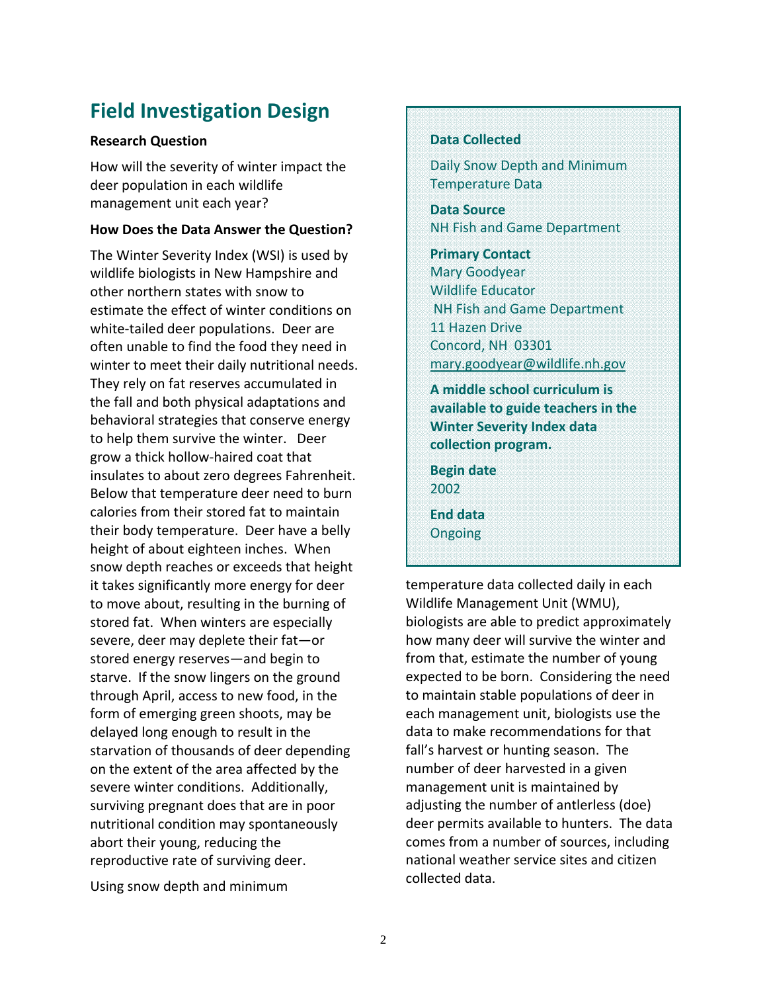# **Field Investigation Design**

#### **Research Question**

How will the severity of winter impact the deer population in each wildlife management unit each year?

#### **How Does the Data Answer the Question?**

The Winter Severity Index (WSI) is used by wildlife biologists in New Hampshire and other northern states with snow to estimate the effect of winter conditions on white-tailed deer populations. Deer are often unable to find the food they need in winter to meet their daily nutritional needs. They rely on fat reserves accumulated in the fall and both physical adaptations and behavioral strategies that conserve energy to help them survive the winter. Deer grow a thick hollow‐haired coat that insulates to about zero degrees Fahrenheit. Below that temperature deer need to burn calories from their stored fat to maintain their body temperature. Deer have a belly height of about eighteen inches. When snow depth reaches or exceeds that height it takes significantly more energy for deer to move about, resulting in the burning of stored fat. When winters are especially severe, deer may deplete their fat—or stored energy reserves—and begin to starve. If the snow lingers on the ground through April, access to new food, in the form of emerging green shoots, may be delayed long enough to result in the starvation of thousands of deer depending on the extent of the area affected by the severe winter conditions. Additionally, surviving pregnant does that are in poor nutritional condition may spontaneously abort their young, reducing the reproductive rate of surviving deer.

Using snow depth and minimum

### **Data Collected**

Daily Snow Depth and Minimum Temperature Data

**Data Source** NH Fish and Game Department

**Primary Contact** Mary Goodyear Wildlife Educator NH Fish and Game Department 11 Hazen Drive Concord, NH 03301 mary.goodyear@wildlife.nh.gov

**A middle school curriculum is available to guide teachers in the Winter Severity Index data collection program.**

**Begin date** 2002

**End data** Ongoing

temperature data collected daily in each Wildlife Management Unit (WMU), biologists are able to predict approximately how many deer will survive the winter and from that, estimate the number of young expected to be born. Considering the need to maintain stable populations of deer in each management unit, biologists use the data to make recommendations for that fall's harvest or hunting season. The number of deer harvested in a given management unit is maintained by adjusting the number of antlerless (doe) deer permits available to hunters. The data comes from a number of sources, including national weather service sites and citizen collected data.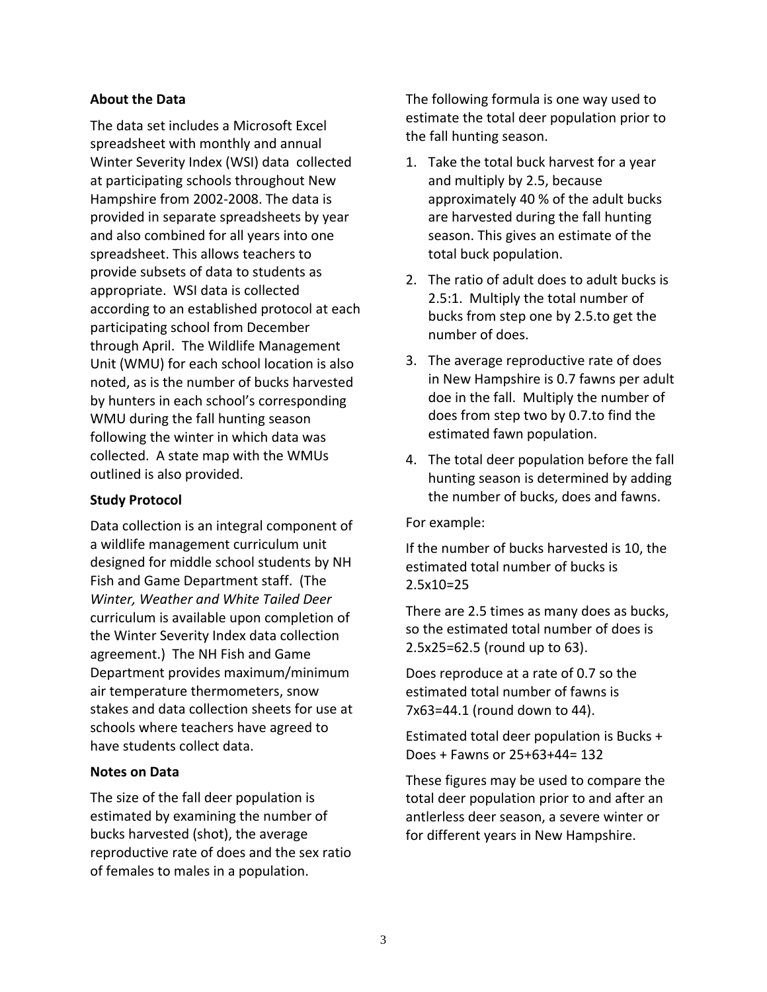### **About the Data**

The data set includes a Microsoft Excel spreadsheet with monthly and annual Winter Severity Index (WSI) data collected at participating schools throughout New Hampshire from 2002‐2008. The data is provided in separate spreadsheets by year and also combined for all years into one spreadsheet. This allows teachers to provide subsets of data to students as appropriate. WSI data is collected according to an established protocol at each participating school from December through April. The Wildlife Management Unit (WMU) for each school location is also noted, as is the number of bucks harvested by hunters in each school's corresponding WMU during the fall hunting season following the winter in which data was collected. A state map with the WMUs outlined is also provided.

### **Study Protocol**

Data collection is an integral component of a wildlife management curriculum unit designed for middle school students by NH Fish and Game Department staff. (The *Winter, Weather and White Tailed Deer* curriculum is available upon completion of the Winter Severity Index data collection agreement.) The NH Fish and Game Department provides maximum/minimum air temperature thermometers, snow stakes and data collection sheets for use at schools where teachers have agreed to have students collect data.

### **Notes on Data**

The size of the fall deer population is estimated by examining the number of bucks harvested (shot), the average reproductive rate of does and the sex ratio of females to males in a population.

The following formula is one way used to estimate the total deer population prior to the fall hunting season.

- 1. Take the total buck harvest for a year and multiply by 2.5, because approximately 40 % of the adult bucks are harvested during the fall hunting season. This gives an estimate of the total buck population.
- 2. The ratio of adult does to adult bucks is 2.5:1. Multiply the total number of bucks from step one by 2.5.to get the number of does.
- 3. The average reproductive rate of does in New Hampshire is 0.7 fawns per adult doe in the fall. Multiply the number of does from step two by 0.7.to find the estimated fawn population.
- 4. The total deer population before the fall hunting season is determined by adding the number of bucks, does and fawns.

For example:

If the number of bucks harvested is 10, the estimated total number of bucks is 2.5x10=25

There are 2.5 times as many does as bucks, so the estimated total number of does is 2.5x25=62.5 (round up to 63).

Does reproduce at a rate of 0.7 so the estimated total number of fawns is 7x63=44.1 (round down to 44).

Estimated total deer population is Bucks + Does + Fawns or 25+63+44= 132

These figures may be used to compare the total deer population prior to and after an antlerless deer season, a severe winter or for different years in New Hampshire.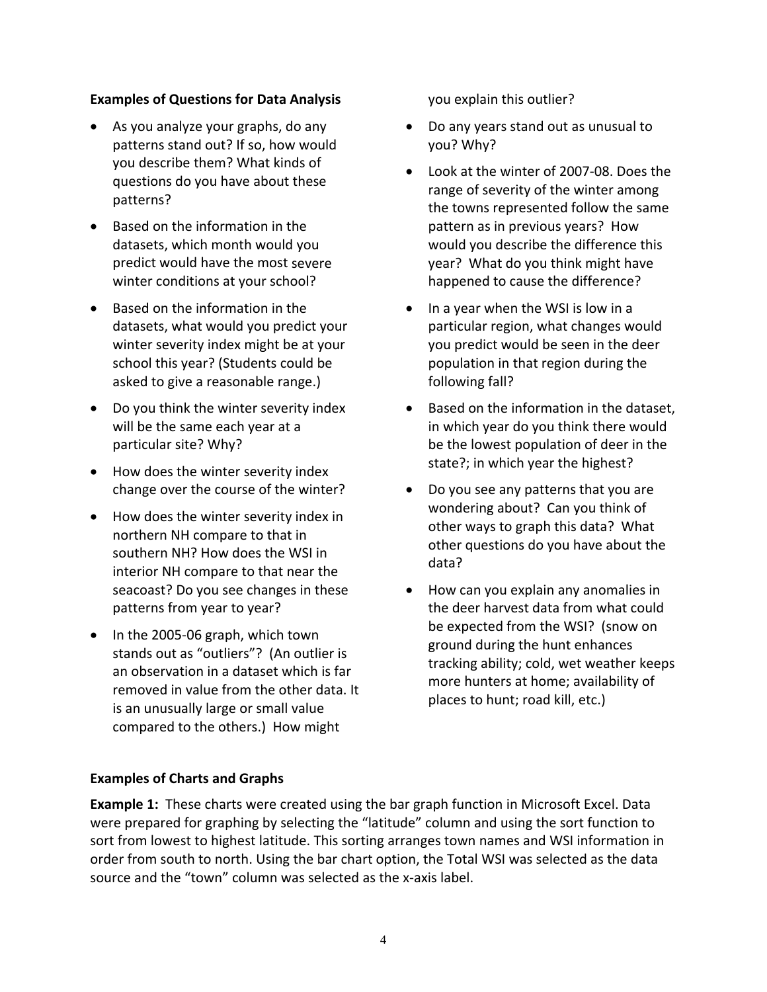## **Examples of Questions for Data Analysis**

- As you analyze your graphs, do any patterns stand out? If so, how would you describe them? What kinds of questions do you have about these patterns?
- Based on the information in the datasets, which month would you predict would have the most severe winter conditions at your school?
- Based on the information in the datasets, what would you predict your winter severity index might be at your school this year? (Students could be asked to give a reasonable range.)
- Do you think the winter severity index will be the same each year at a particular site? Why?
- How does the winter severity index change over the course of the winter?
- How does the winter severity index in northern NH compare to that in southern NH? How does the WSI in interior NH compare to that near the seacoast? Do you see changes in these patterns from year to year?
- In the 2005-06 graph, which town stands out as "outliers"? (An outlier is an observation in a dataset which is far removed in value from the other data. It is an unusually large or small value compared to the others.) How might

you explain this outlier?

- Do any years stand out as unusual to you? Why?
- Look at the winter of 2007‐08. Does the range of severity of the winter among the towns represented follow the same pattern as in previous years? How would you describe the difference this year? What do you think might have happened to cause the difference?
- In a year when the WSI is low in a particular region, what changes would you predict would be seen in the deer population in that region during the following fall?
- Based on the information in the dataset, in which year do you think there would be the lowest population of deer in the state?; in which year the highest?
- Do you see any patterns that you are wondering about? Can you think of other ways to graph this data? What other questions do you have about the data?
- How can you explain any anomalies in the deer harvest data from what could be expected from the WSI? (snow on ground during the hunt enhances tracking ability; cold, wet weather keeps more hunters at home; availability of places to hunt; road kill, etc.)

# **Examples of Charts and Graphs**

**Example 1:** These charts were created using the bar graph function in Microsoft Excel. Data were prepared for graphing by selecting the "latitude" column and using the sort function to sort from lowest to highest latitude. This sorting arranges town names and WSI information in order from south to north. Using the bar chart option, the Total WSI was selected as the data source and the "town" column was selected as the x-axis label.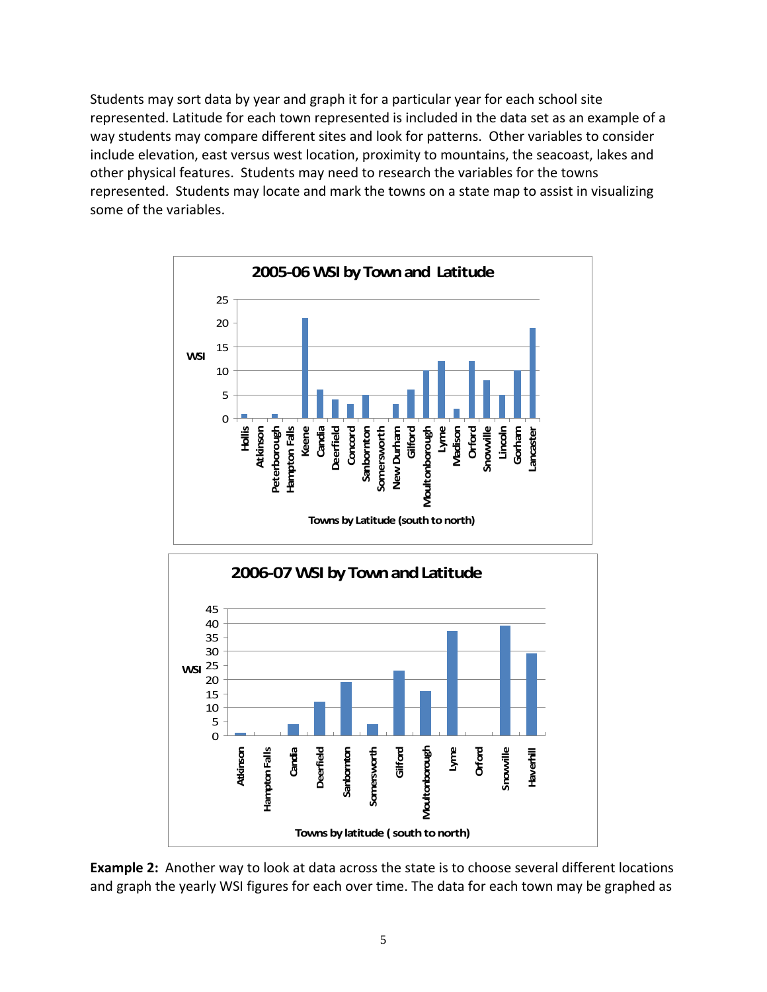Students may sort data by year and graph it for a particular year for each school site represented. Latitude for each town represented is included in the data set as an example of a way students may compare different sites and look for patterns. Other variables to consider include elevation, east versus west location, proximity to mountains, the seacoast, lakes and other physical features. Students may need to research the variables for the towns represented. Students may locate and mark the towns on a state map to assist in visualizing some of the variables.





**Example 2:** Another way to look at data across the state is to choose several different locations and graph the yearly WSI figures for each over time. The data for each town may be graphed as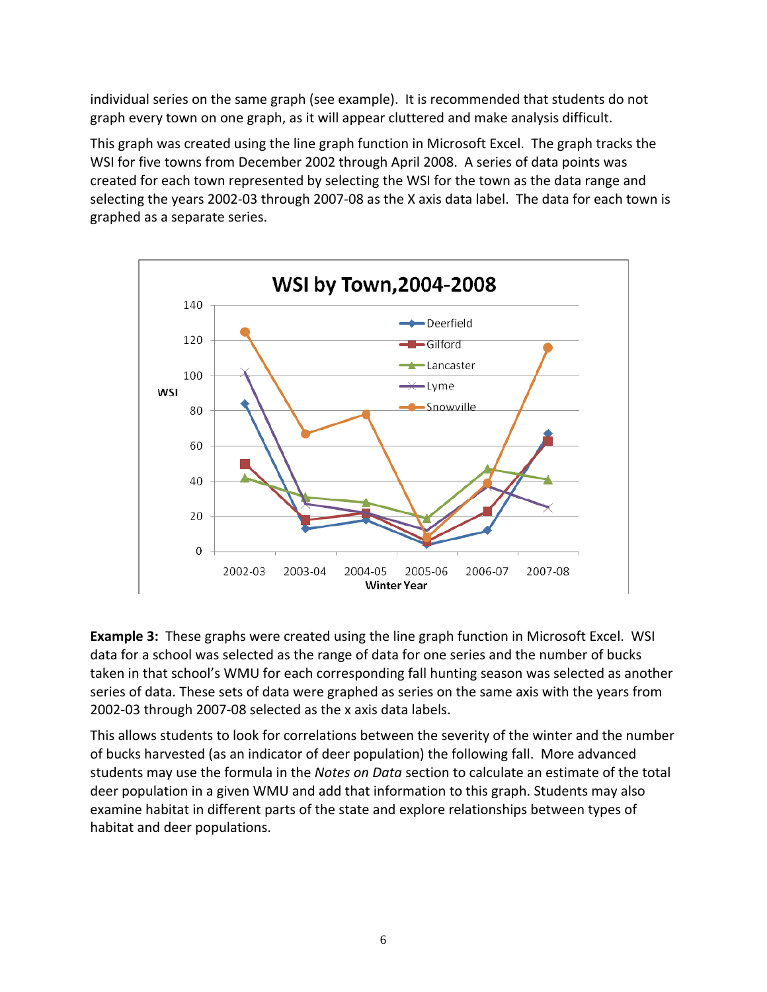individual series on the same graph (see example). It is recommended that students do not graph every town on one graph, as it will appear cluttered and make analysis difficult.

This graph was created using the line graph function in Microsoft Excel. The graph tracks the WSI for five towns from December 2002 through April 2008. A series of data points was created for each town represented by selecting the WSI for the town as the data range and selecting the years 2002‐03 through 2007‐08 as the X axis data label. The data for each town is graphed as a separate series.



**Example 3:** These graphs were created using the line graph function in Microsoft Excel. WSI data for a school was selected as the range of data for one series and the number of bucks taken in that school's WMU for each corresponding fall hunting season was selected as another series of data. These sets of data were graphed as series on the same axis with the years from 2002‐03 through 2007‐08 selected as the x axis data labels.

This allows students to look for correlations between the severity of the winter and the number of bucks harvested (as an indicator of deer population) the following fall. More advanced students may use the formula in the *Notes on Data* section to calculate an estimate of the total deer population in a given WMU and add that information to this graph. Students may also examine habitat in different parts of the state and explore relationships between types of habitat and deer populations.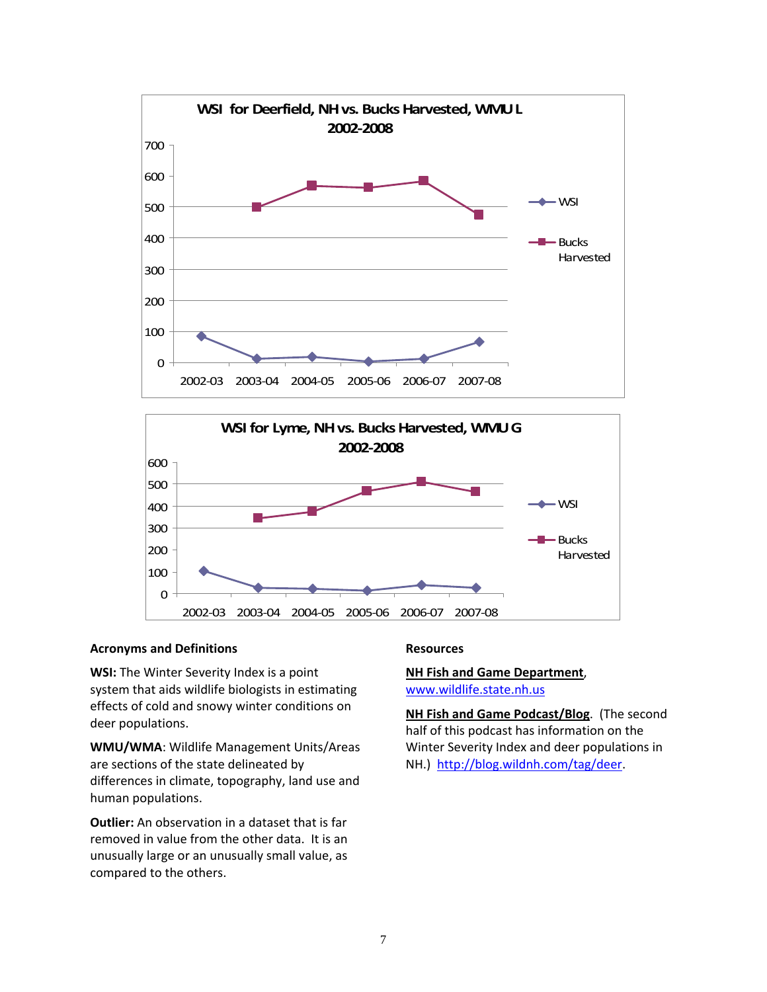



#### **Acronyms and Definitions**

**WSI:** The Winter Severity Index is a point system that aids wildlife biologists in estimating effects of cold and snowy winter conditions on deer populations.

**WMU/WMA**: Wildlife Management Units/Areas are sections of the state delineated by differences in climate, topography, land use and human populations.

**Outlier:** An observation in a dataset that is far removed in value from the other data. It is an unusually large or an unusually small value, as compared to the others.

#### **Resources**

#### **NH Fish and Game Department**, www.wildlife.state.nh.us

**NH Fish and Game Podcast/Blog**. (The second half of this podcast has information on the Winter Severity Index and deer populations in NH.) http://blog.wildnh.com/tag/deer.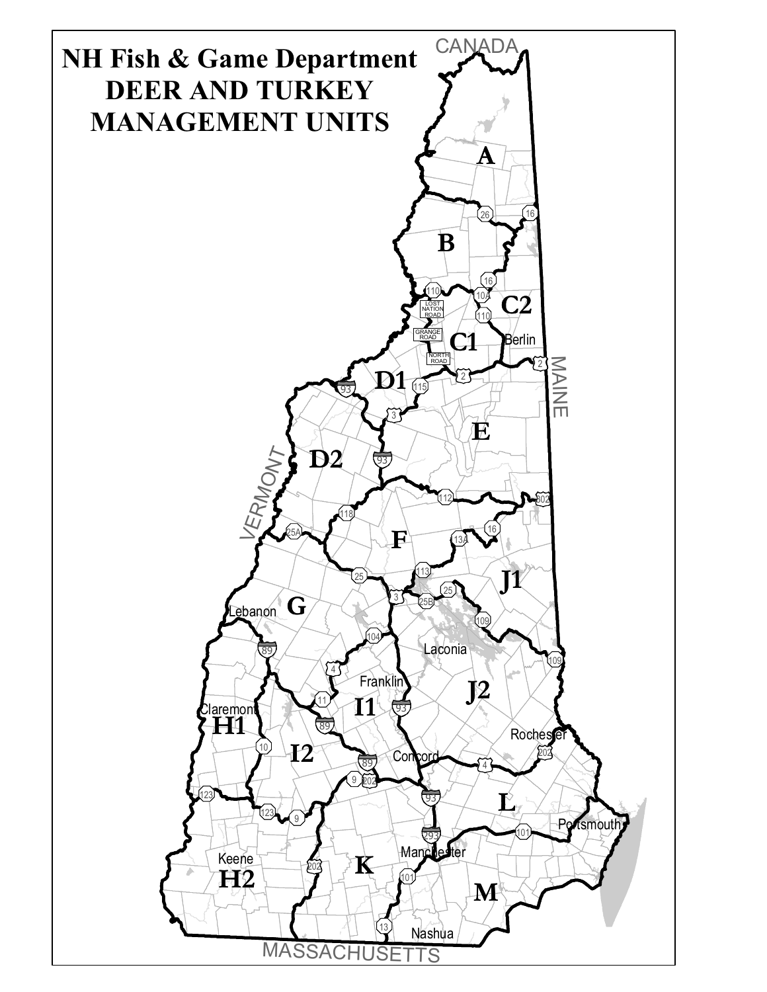